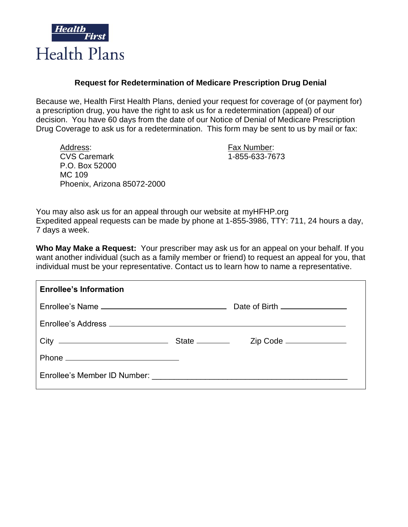

## **Request for Redetermination of Medicare Prescription Drug Denial**

Because we, Health First Health Plans, denied your request for coverage of (or payment for) a prescription drug, you have the right to ask us for a redetermination (appeal) of our decision. You have 60 days from the date of our Notice of Denial of Medicare Prescription Drug Coverage to ask us for a redetermination. This form may be sent to us by mail or fax:

Address: Fax Number: CVS Caremark 1-855-633-7673 P.O. Box 52000 MC 109 Phoenix, Arizona 85072-2000

You may also ask us for an appeal through our website at myHFHP.org Expedited appeal requests can be made by phone at 1-855-3986, TTY: 711, 24 hours a day, 7 days a week.

**Who May Make a Request:** Your prescriber may ask us for an appeal on your behalf. If you want another individual (such as a family member or friend) to request an appeal for you, that individual must be your representative. Contact us to learn how to name a representative.

| <b>Enrollee's Information</b> |  |
|-------------------------------|--|
|                               |  |
|                               |  |
|                               |  |
|                               |  |
|                               |  |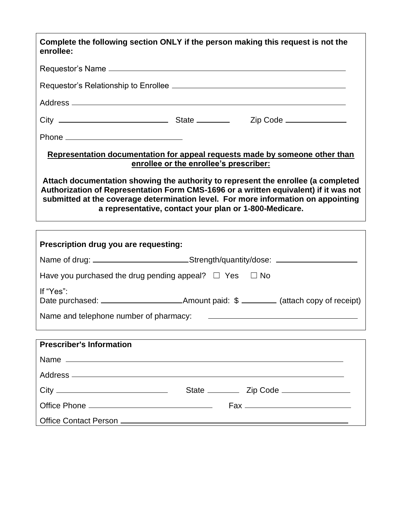| Complete the following section ONLY if the person making this request is not the<br>enrollee:                                                                                                                                                                                                                            |  |  |  |  |  |
|--------------------------------------------------------------------------------------------------------------------------------------------------------------------------------------------------------------------------------------------------------------------------------------------------------------------------|--|--|--|--|--|
|                                                                                                                                                                                                                                                                                                                          |  |  |  |  |  |
|                                                                                                                                                                                                                                                                                                                          |  |  |  |  |  |
|                                                                                                                                                                                                                                                                                                                          |  |  |  |  |  |
|                                                                                                                                                                                                                                                                                                                          |  |  |  |  |  |
|                                                                                                                                                                                                                                                                                                                          |  |  |  |  |  |
| Representation documentation for appeal requests made by someone other than<br>enrollee or the enrollee's prescriber:                                                                                                                                                                                                    |  |  |  |  |  |
| Attach documentation showing the authority to represent the enrollee (a completed<br>Authorization of Representation Form CMS-1696 or a written equivalent) if it was not<br>submitted at the coverage determination level. For more information on appointing<br>a representative, contact your plan or 1-800-Medicare. |  |  |  |  |  |
|                                                                                                                                                                                                                                                                                                                          |  |  |  |  |  |
| Prescription drug you are requesting:                                                                                                                                                                                                                                                                                    |  |  |  |  |  |
| Name of drug: _______________________________Strength/quantity/dose: ____________                                                                                                                                                                                                                                        |  |  |  |  |  |
| Have you purchased the drug pending appeal? $\Box$ Yes $\Box$ No                                                                                                                                                                                                                                                         |  |  |  |  |  |
| If "Yes":                                                                                                                                                                                                                                                                                                                |  |  |  |  |  |
| Name and telephone number of pharmacy:<br><u> 1989 - Andrea Stadt Britain, amerikansk politiker (</u>                                                                                                                                                                                                                    |  |  |  |  |  |
|                                                                                                                                                                                                                                                                                                                          |  |  |  |  |  |
| <b>Prescriber's Information</b>                                                                                                                                                                                                                                                                                          |  |  |  |  |  |
|                                                                                                                                                                                                                                                                                                                          |  |  |  |  |  |
|                                                                                                                                                                                                                                                                                                                          |  |  |  |  |  |
| State ________<br>Zip Code ____________                                                                                                                                                                                                                                                                                  |  |  |  |  |  |

| <b>URV</b>            |     |
|-----------------------|-----|
|                       | Fax |
| Office Contact Person |     |